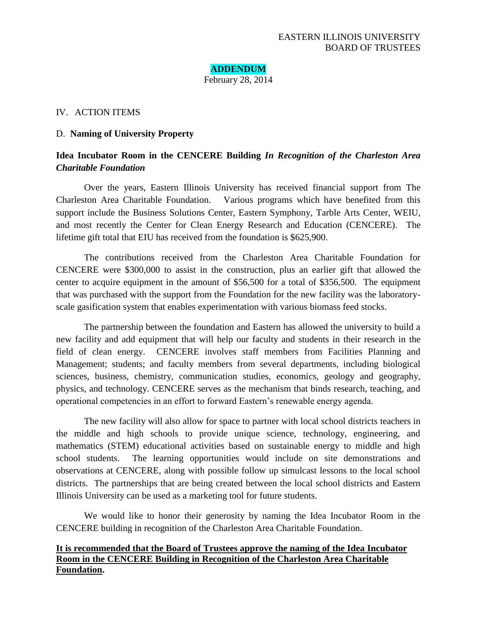**ADDENDUM** February 28, 2014

#### IV. ACTION ITEMS

#### D. **Naming of University Property**

# **Idea Incubator Room in the CENCERE Building** *In Recognition of the Charleston Area Charitable Foundation*

Over the years, Eastern Illinois University has received financial support from The Charleston Area Charitable Foundation. Various programs which have benefited from this support include the Business Solutions Center, Eastern Symphony, Tarble Arts Center, WEIU, and most recently the Center for Clean Energy Research and Education (CENCERE). The lifetime gift total that EIU has received from the foundation is \$625,900.

The contributions received from the Charleston Area Charitable Foundation for CENCERE were \$300,000 to assist in the construction, plus an earlier gift that allowed the center to acquire equipment in the amount of \$56,500 for a total of \$356,500. The equipment that was purchased with the support from the Foundation for the new facility was the laboratoryscale gasification system that enables experimentation with various biomass feed stocks.

The partnership between the foundation and Eastern has allowed the university to build a new facility and add equipment that will help our faculty and students in their research in the field of clean energy. CENCERE involves staff members from Facilities Planning and Management; students; and faculty members from several departments, including biological sciences, business, chemistry, communication studies, economics, geology and geography, physics, and technology. CENCERE serves as the mechanism that binds research, teaching, and operational competencies in an effort to forward Eastern's renewable energy agenda.

The new facility will also allow for space to partner with local school districts teachers in the middle and high schools to provide unique science, technology, engineering, and mathematics (STEM) educational activities based on sustainable energy to middle and high school students. The learning opportunities would include on site demonstrations and observations at CENCERE, along with possible follow up simulcast lessons to the local school districts. The partnerships that are being created between the local school districts and Eastern Illinois University can be used as a marketing tool for future students.

We would like to honor their generosity by naming the Idea Incubator Room in the CENCERE building in recognition of the Charleston Area Charitable Foundation.

## **It is recommended that the Board of Trustees approve the naming of the Idea Incubator Room in the CENCERE Building in Recognition of the Charleston Area Charitable Foundation.**